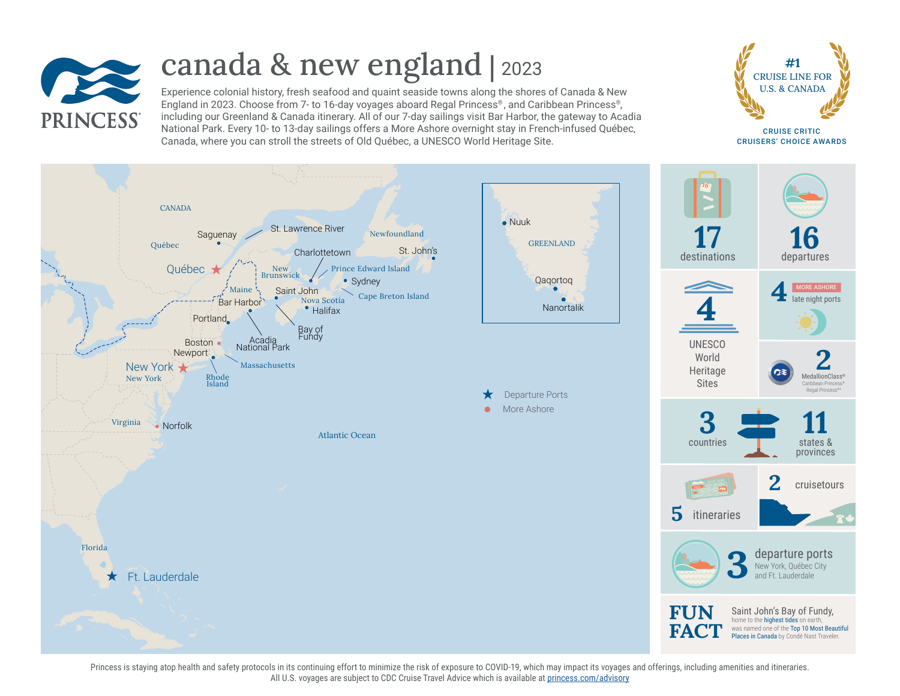

# canada & new england | <sup>2023</sup>

Experience colonial history, fresh seafood and quaint seaside towns along the shores of Canada & New England in 2023. Choose from 7- to 16-day voyages aboard Regal Princess® , and Caribbean Princess® , including our Greenland & Canada itinerary. All of our 7-day sailings visit Bar Harbor, the gateway to Acadia National Park. Every 10- to 13-day sailings offers a More Ashore overnight stay in French-infused Québec, Canada, where you can stroll the streets of Old Québec, a UNESCO World Heritage Site.



CRUISE CRITIC CRUISERS' CHOICE AWARDS



Princess is staying atop health and safety protocols in its continuing effort to minimize the risk of exposure to COVID-19, which may impact its voyages and offerings, including amenities and itineraries. All U.S. voyages are subject to CDC Cruise Travel Advice which is available at [princess.com/advisory](http://princess.com/advisory)